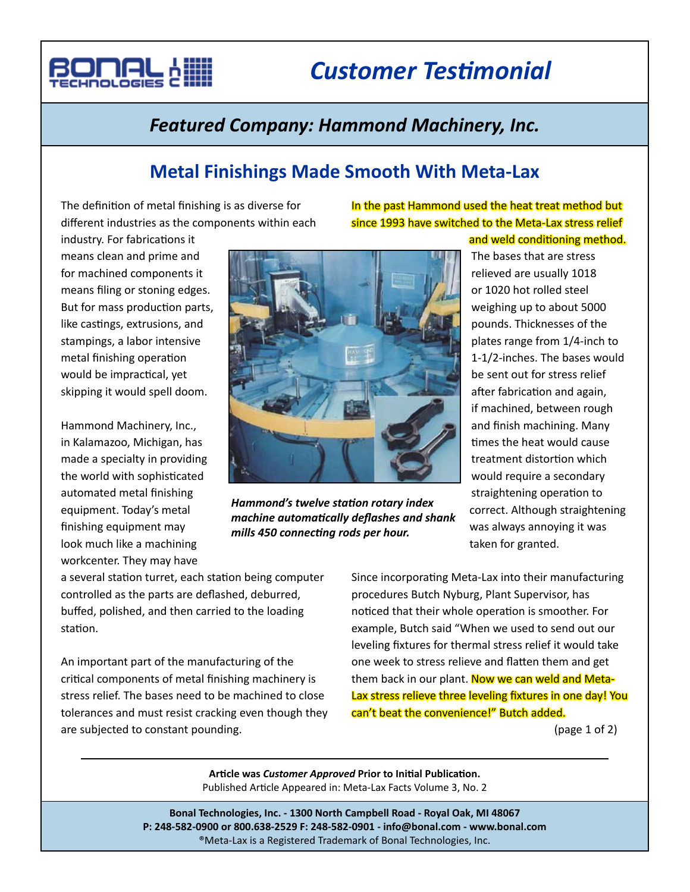

# *Customer Testimonial*

## *Featured Company: Hammond Machinery, Inc.*

### **Metal Finishings Made Smooth With Meta-Lax**

The definition of metal finishing is as diverse for different industries as the components within each

### In the past Hammond used the heat treat method but since 1993 have switched to the Meta-Lax stress relief and weld conditioning method.

industry. For fabrications it means clean and prime and for machined components it means filing or stoning edges. But for mass production parts, like castings, extrusions, and stampings, a labor intensive metal finishing operation would be impractical, yet skipping it would spell doom.

Hammond Machinery, Inc., in Kalamazoo, Michigan, has made a specialty in providing the world with sophisticated automated metal finishing equipment. Today's metal finishing equipment may look much like a machining workcenter. They may have



*Hammond's twelve station rotary index machine automatically deflashes and shank mills 450 connecting rods per hour.*

The bases that are stress relieved are usually 1018 or 1020 hot rolled steel weighing up to about 5000 pounds. Thicknesses of the plates range from 1/4-inch to 1-1/2-inches. The bases would be sent out for stress relief after fabrication and again, if machined, between rough and finish machining. Many times the heat would cause treatment distortion which would require a secondary straightening operation to correct. Although straightening was always annoying it was taken for granted.

a several station turret, each station being computer controlled as the parts are deflashed, deburred, buffed, polished, and then carried to the loading station.

An important part of the manufacturing of the critical components of metal finishing machinery is stress relief. The bases need to be machined to close tolerances and must resist cracking even though they are subjected to constant pounding.

Since incorporating Meta-Lax into their manufacturing procedures Butch Nyburg, Plant Supervisor, has noticed that their whole operation is smoother. For example, Butch said "When we used to send out our leveling fixtures for thermal stress relief it would take one week to stress relieve and flatten them and get them back in our plant. Now we can weld and Meta-Lax stress relieve three leveling fixtures in one day! You can't beat the convenience!" Butch added.

(page 1 of 2)

**Article was** *Customer Approved* **Prior to Initial Publication.** Published Article Appeared in: Meta-Lax Facts Volume 3, No. 2

**Bonal Technologies, Inc. - 1300 North Campbell Road - Royal Oak, MI 48067 P: 248-582-0900 or 800.638-2529 F: 248-582-0901 - info@bonal.com - www.bonal.com** ®Meta-Lax is a Registered Trademark of Bonal Technologies, Inc.